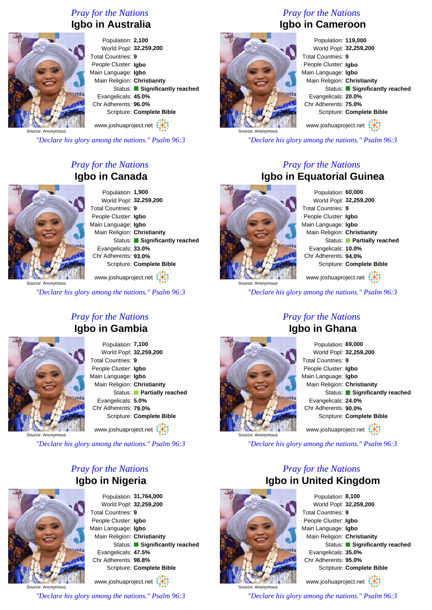### *Pray for the Nations* **Igbo in Australia**



Population: **2,100** World Popl: **32,259,200** Total Countries: **9** People Cluster: **Igbo** Main Language: **Igbo** Main Religion: **Christianity** Status: **Significantly reached** Evangelicals: **45.0%** Chr Adherents: **96.0%** Scripture: **Complete Bible** www.joshuaproject.net

Source: Anonymous

*"Declare his glory among the nations." Psalm 96:3*

### *Pray for the Nations* **Igbo in Canada**



Population: **1,900** World Popl: **32,259,200** Total Countries: **9** People Cluster: **Igbo** Main Language: **Igbo** Main Religion: **Christianity** Status: **Significantly reached** Evangelicals: **33.0%** Chr Adherents: **93.0%** Scripture: **Complete Bible**

www.joshuaproject.net

*"Declare his glory among the nations." Psalm 96:3*

#### *Pray for the Nations* **Igbo in Gambia**



Population: **7,100** World Popl: **32,259,200** Total Countries: **9** People Cluster: **Igbo** Main Language: **Igbo** Main Religion: **Christianity** Status: **Partially reached** Evangelicals: **5.0%** Chr Adherents: **79.0%** Scripture: **Complete Bible** www.joshuaproject.net

Source: Anonymous

*"Declare his glory among the nations." Psalm 96:3*

#### *Pray for the Nations* **Igbo in Nigeria**



Population: **31,764,000** World Popl: **32,259,200** Total Countries: **9** People Cluster: **Igbo** Main Language: **Igbo** Main Religion: **Christianity** Status: **Significantly reached** Evangelicals: **47.5%** Chr Adherents: **98.8%** Scripture: **Complete Bible** www.joshuaproject.net

Source: Anonymous *"Declare his glory among the nations." Psalm 96:3*

## *Pray for the Nations* **Igbo in Cameroon**



Population: **119,000** World Popl: **32,259,200** Total Countries: **9** People Cluster: **Igbo** Main Language: **Igbo** Main Religion: **Christianity** Status: **Significantly reached** Evangelicals: **20.0%** Chr Adherents: **75.0%** Scripture: **Complete Bible**

www.joshuaproject.net

*"Declare his glory among the nations." Psalm 96:3*

#### *Pray for the Nations* **Igbo in Equatorial Guinea**



Population: **60,000** World Popl: **32,259,200** Total Countries: **9** People Cluster: **Igbo** Main Language: **Igbo** Main Religion: **Christianity** Status: **Partially reached** Evangelicals: **10.0%** Chr Adherents: **94.0%** Scripture: **Complete Bible** www.joshuaproject.net

*"Declare his glory among the nations." Psalm 96:3*

#### *Pray for the Nations* **Igbo in Ghana**



Population: **69,000** World Popl: **32,259,200** Total Countries: **9** People Cluster: **Igbo** Main Language: **Igbo** Main Religion: **Christianity** Status: **Significantly reached** Evangelicals: **24.0%** Chr Adherents: **90.0%** Scripture: **Complete Bible** www.joshuaproject.net

*"Declare his glory among the nations." Psalm 96:3*

#### *Pray for the Nations* **Igbo in United Kingdom**



Population: **8,100** World Popl: **32,259,200** Total Countries: **9** People Cluster: **Igbo** Main Language: **Igbo** Main Religion: **Christianity** Status: **Significantly reached** Evangelicals: **35.0%** Chr Adherents: **95.0%** Scripture: **Complete Bible** www.joshuaproject.net

*"Declare his glory among the nations." Psalm 96:3*